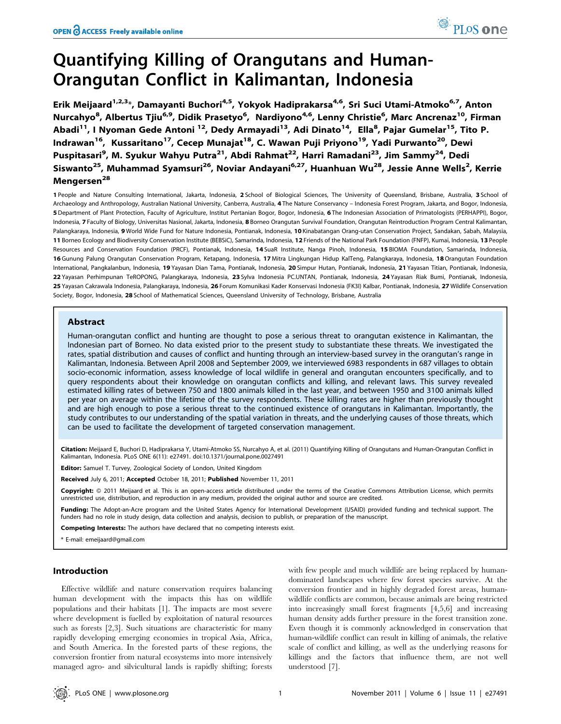# Quantifying Killing of Orangutans and Human-Orangutan Conflict in Kalimantan, Indonesia

Erik Meijaard<sup>1,2,3\*</sup>, Damayanti Buchori<sup>4,5</sup>, Yokyok Hadiprakarsa<sup>4,6</sup>, Sri Suci Utami-Atmoko<sup>6,7</sup>, Anton Nurcahyo<sup>8</sup>, Albertus Tjiu<sup>6,9</sup>, Didik Prasetyo<sup>6</sup>, Nardiyono<sup>4,6</sup>, Lenny Christie<sup>6</sup>, Marc Ancrenaz<sup>10</sup>, Firman Abadi<sup>11</sup>, I Nyoman Gede Antoni <sup>12</sup>, Dedy Armayadi<sup>13</sup>, Adi Dinato<sup>14</sup>, Ella<sup>8</sup>, Pajar Gumelar<sup>15</sup>, Tito P. Indrawan<sup>16</sup>, Kussaritano<sup>17</sup>, Cecep Munajat<sup>18</sup>, C. Wawan Puji Priyono<sup>19</sup>, Yadi Purwanto<sup>20</sup>, Dewi Puspitasari<sup>9</sup>, M. Syukur Wahyu Putra<sup>21</sup>, Abdi Rahmat<sup>22</sup>, Harri Ramadani<sup>23</sup>, Jim Sammy<sup>24</sup>, Dedi Siswanto<sup>25</sup>, Muhammad Syamsuri<sup>26</sup>, Noviar Andayani<sup>6,27</sup>, Huanhuan Wu<sup>28</sup>, Jessie Anne Wells<sup>2</sup>, Kerrie Mengersen<sup>28</sup>

1 People and Nature Consulting International, Jakarta, Indonesia, 2 School of Biological Sciences, The University of Queensland, Brisbane, Australia, 3 School of Archaeology and Anthropology, Australian National University, Canberra, Australia, 4 The Nature Conservancy – Indonesia Forest Program, Jakarta, and Bogor, Indonesia, 5 Department of Plant Protection, Faculty of Agriculture, Institut Pertanian Bogor, Bogor, Indonesia, 6 The Indonesian Association of Primatologists (PERHAPPI), Bogor, Indonesia, 7 Faculty of Biology, Universitas Nasional, Jakarta, Indonesia, 8 Borneo Orangutan Survival Foundation, Orangutan Reintroduction Program Central Kalimantan, Palangkaraya, Indonesia, 9 World Wide Fund for Nature Indonesia, Pontianak, Indonesia, 10 Kinabatangan Orang-utan Conservation Project, Sandakan, Sabah, Malaysia, 11 Borneo Ecology and Biodiversity Conservation Institute (BEBSiC), Samarinda, Indonesia, 12 Friends of the National Park Foundation (FNFP), Kumai, Indonesia, 13 People Resources and Conservation Foundation (PRCF), Pontianak, Indonesia, 14 SuaR Institute, Nanga Pinoh, Indonesia, 15 BIOMA Foundation, Samarinda, Indonesia, 16 Gunung Palung Orangutan Conservation Program, Ketapang, Indonesia, 17 Mitra Lingkungan Hidup KalTeng, Palangkaraya, Indonesia, 18 Orangutan Foundation International, Pangkalanbun, Indonesia, 19 Yayasan Dian Tama, Pontianak, Indonesia, 20 Simpur Hutan, Pontianak, Indonesia, 21 Yayasan Titian, Pontianak, Indonesia, 22 Yayasan Perhimpunan TeROPONG, Palangkaraya, Indonesia, 23 Sylva Indonesia PC.UNTAN, Pontianak, Indonesia, 24 Yayasan Riak Bumi, Pontianak, Indonesia, 25 Yayasan Cakrawala Indonesia, Palangkaraya, Indonesia, 26 Forum Komunikasi Kader Konservasi Indonesia (FK3I) Kalbar, Pontianak, Indonesia, 27 Wildlife Conservation Society, Bogor, Indonesia, 28 School of Mathematical Sciences, Queensland University of Technology, Brisbane, Australia

# Abstract

Human-orangutan conflict and hunting are thought to pose a serious threat to orangutan existence in Kalimantan, the Indonesian part of Borneo. No data existed prior to the present study to substantiate these threats. We investigated the rates, spatial distribution and causes of conflict and hunting through an interview-based survey in the orangutan's range in Kalimantan, Indonesia. Between April 2008 and September 2009, we interviewed 6983 respondents in 687 villages to obtain socio-economic information, assess knowledge of local wildlife in general and orangutan encounters specifically, and to query respondents about their knowledge on orangutan conflicts and killing, and relevant laws. This survey revealed estimated killing rates of between 750 and 1800 animals killed in the last year, and between 1950 and 3100 animals killed per year on average within the lifetime of the survey respondents. These killing rates are higher than previously thought and are high enough to pose a serious threat to the continued existence of orangutans in Kalimantan. Importantly, the study contributes to our understanding of the spatial variation in threats, and the underlying causes of those threats, which can be used to facilitate the development of targeted conservation management.

Citation: Meijaard E, Buchori D, Hadiprakarsa Y, Utami-Atmoko SS, Nurcahyo A, et al. (2011) Quantifying Killing of Orangutans and Human-Orangutan Conflict in Kalimantan, Indonesia. PLoS ONE 6(11): e27491. doi:10.1371/journal.pone.0027491

Editor: Samuel T. Turvey, Zoological Society of London, United Kingdom

Received July 6, 2011; Accepted October 18, 2011; Published November 11, 2011

Copyright: © 2011 Meijaard et al. This is an open-access article distributed under the terms of the Creative Commons Attribution License, which permits unrestricted use, distribution, and reproduction in any medium, provided the original author and source are credited.

Funding: The Adopt-an-Acre program and the United States Agency for International Development (USAID) provided funding and technical support. The funders had no role in study design, data collection and analysis, decision to publish, or preparation of the manuscript.

Competing Interests: The authors have declared that no competing interests exist.

\* E-mail: emeijaard@gmail.com

## Introduction

Effective wildlife and nature conservation requires balancing human development with the impacts this has on wildlife populations and their habitats [1]. The impacts are most severe where development is fuelled by exploitation of natural resources such as forests [2,3]. Such situations are characteristic for many rapidly developing emerging economies in tropical Asia, Africa, and South America. In the forested parts of these regions, the conversion frontier from natural ecosystems into more intensively managed agro- and silvicultural lands is rapidly shifting; forests with few people and much wildlife are being replaced by humandominated landscapes where few forest species survive. At the conversion frontier and in highly degraded forest areas, humanwildlife conflicts are common, because animals are being restricted into increasingly small forest fragments [4,5,6] and increasing human density adds further pressure in the forest transition zone. Even though it is commonly acknowledged in conservation that human-wildlife conflict can result in killing of animals, the relative scale of conflict and killing, as well as the underlying reasons for killings and the factors that influence them, are not well understood [7].

 $PIOS$  one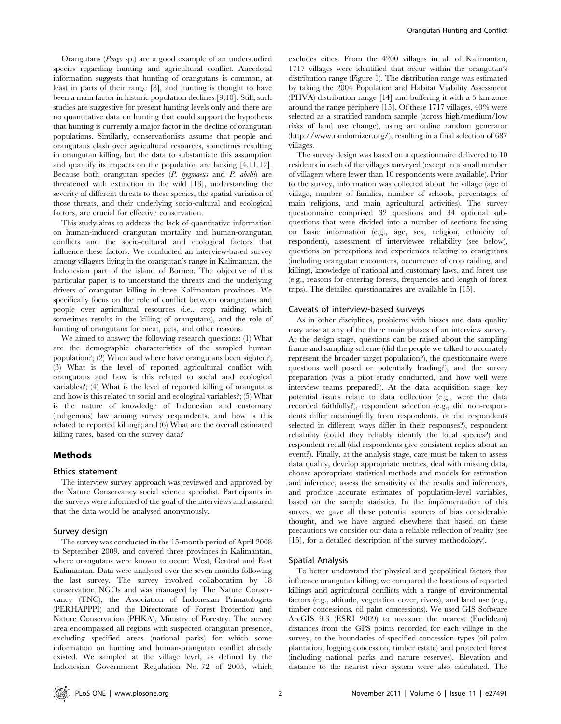Orangutans (Pongo sp.) are a good example of an understudied species regarding hunting and agricultural conflict. Anecdotal information suggests that hunting of orangutans is common, at least in parts of their range [8], and hunting is thought to have been a main factor in historic population declines [9,10]. Still, such studies are suggestive for present hunting levels only and there are no quantitative data on hunting that could support the hypothesis that hunting is currently a major factor in the decline of orangutan populations. Similarly, conservationists assume that people and orangutans clash over agricultural resources, sometimes resulting in orangutan killing, but the data to substantiate this assumption and quantify its impacts on the population are lacking [4,11,12]. Because both orangutan species  $(P.$  pygmaeus and  $P.$  abelii) are threatened with extinction in the wild [13], understanding the severity of different threats to these species, the spatial variation of those threats, and their underlying socio-cultural and ecological factors, are crucial for effective conservation.

This study aims to address the lack of quantitative information on human-induced orangutan mortality and human-orangutan conflicts and the socio-cultural and ecological factors that influence these factors. We conducted an interview-based survey among villagers living in the orangutan's range in Kalimantan, the Indonesian part of the island of Borneo. The objective of this particular paper is to understand the threats and the underlying drivers of orangutan killing in three Kalimantan provinces. We specifically focus on the role of conflict between orangutans and people over agricultural resources (i.e., crop raiding, which sometimes results in the killing of orangutans), and the role of hunting of orangutans for meat, pets, and other reasons.

We aimed to answer the following research questions: (1) What are the demographic characteristics of the sampled human population?; (2) When and where have orangutans been sighted?; (3) What is the level of reported agricultural conflict with orangutans and how is this related to social and ecological variables?; (4) What is the level of reported killing of orangutans and how is this related to social and ecological variables?; (5) What is the nature of knowledge of Indonesian and customary (indigenous) law among survey respondents, and how is this related to reported killing?; and (6) What are the overall estimated killing rates, based on the survey data?

## Methods

### Ethics statement

The interview survey approach was reviewed and approved by the Nature Conservancy social science specialist. Participants in the surveys were informed of the goal of the interviews and assured that the data would be analysed anonymously.

#### Survey design

The survey was conducted in the 15-month period of April 2008 to September 2009, and covered three provinces in Kalimantan, where orangutans were known to occur: West, Central and East Kalimantan. Data were analysed over the seven months following the last survey. The survey involved collaboration by 18 conservation NGOs and was managed by The Nature Conservancy (TNC), the Association of Indonesian Primatologists (PERHAPPPI) and the Directorate of Forest Protection and Nature Conservation (PHKA), Ministry of Forestry. The survey area encompassed all regions with suspected orangutan presence, excluding specified areas (national parks) for which some information on hunting and human-orangutan conflict already existed. We sampled at the village level, as defined by the Indonesian Government Regulation No. 72 of 2005, which

excludes cities. From the 4200 villages in all of Kalimantan, 1717 villages were identified that occur within the orangutan's distribution range (Figure 1). The distribution range was estimated by taking the 2004 Population and Habitat Viability Assessment (PHVA) distribution range [14] and buffering it with a 5 km zone around the range periphery [15]. Of these 1717 villages, 40% were selected as a stratified random sample (across high/medium/low risks of land use change), using an online random generator (http://www.randomizer.org/), resulting in a final selection of 687 villages.

The survey design was based on a questionnaire delivered to 10 residents in each of the villages surveyed (except in a small number of villagers where fewer than 10 respondents were available). Prior to the survey, information was collected about the village (age of village, number of families, number of schools, percentages of main religions, and main agricultural activities). The survey questionnaire comprised 32 questions and 34 optional subquestions that were divided into a number of sections focusing on basic information (e.g., age, sex, religion, ethnicity of respondent), assessment of interviewee reliability (see below), questions on perceptions and experiences relating to orangutans (including orangutan encounters, occurrence of crop raiding, and killing), knowledge of national and customary laws, and forest use (e.g., reasons for entering forests, frequencies and length of forest trips). The detailed questionnaires are available in [15].

#### Caveats of interview-based surveys

As in other disciplines, problems with biases and data quality may arise at any of the three main phases of an interview survey. At the design stage, questions can be raised about the sampling frame and sampling scheme (did the people we talked to accurately represent the broader target population?), the questionnaire (were questions well posed or potentially leading?), and the survey preparation (was a pilot study conducted, and how well were interview teams prepared?). At the data acquisition stage, key potential issues relate to data collection (e.g., were the data recorded faithfully?), respondent selection (e.g., did non-respondents differ meaningfully from respondents, or did respondents selected in different ways differ in their responses?), respondent reliability (could they reliably identify the focal species?) and respondent recall (did respondents give consistent replies about an event?). Finally, at the analysis stage, care must be taken to assess data quality, develop appropriate metrics, deal with missing data, choose appropriate statistical methods and models for estimation and inference, assess the sensitivity of the results and inferences, and produce accurate estimates of population-level variables, based on the sample statistics. In the implementation of this survey, we gave all these potential sources of bias considerable thought, and we have argued elsewhere that based on these precautions we consider our data a reliable reflection of reality (see [15], for a detailed description of the survey methodology).

#### Spatial Analysis

To better understand the physical and geopolitical factors that influence orangutan killing, we compared the locations of reported killings and agricultural conflicts with a range of environmental factors (e.g., altitude, vegetation cover, rivers), and land use (e.g., timber concessions, oil palm concessions). We used GIS Software ArcGIS 9.3 (ESRI 2009) to measure the nearest (Euclidean) distances from the GPS points recorded for each village in the survey, to the boundaries of specified concession types (oil palm plantation, logging concession, timber estate) and protected forest (including national parks and nature reserves). Elevation and distance to the nearest river system were also calculated. The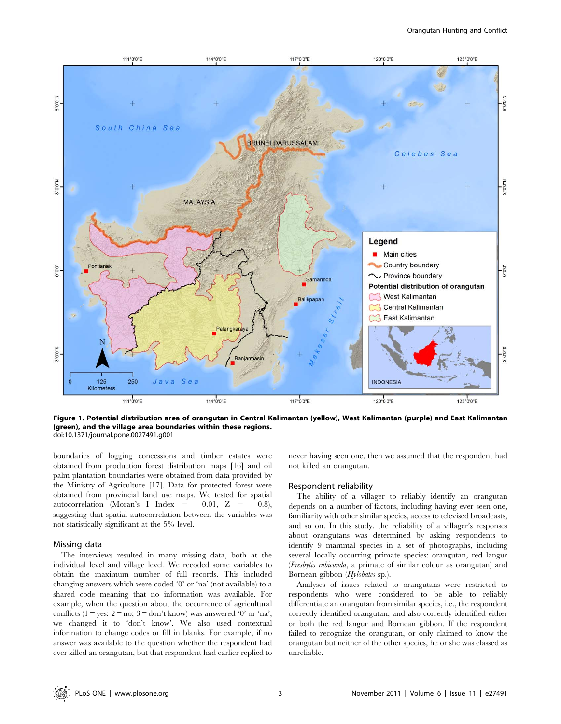

Figure 1. Potential distribution area of orangutan in Central Kalimantan (yellow), West Kalimantan (purple) and East Kalimantan (green), and the village area boundaries within these regions. doi:10.1371/journal.pone.0027491.g001

boundaries of logging concessions and timber estates were obtained from production forest distribution maps [16] and oil palm plantation boundaries were obtained from data provided by the Ministry of Agriculture [17]. Data for protected forest were obtained from provincial land use maps. We tested for spatial autocorrelation (Moran's I Index =  $-0.01$ , Z =  $-0.8$ ), suggesting that spatial autocorrelation between the variables was not statistically significant at the 5% level.

#### Missing data

The interviews resulted in many missing data, both at the individual level and village level. We recoded some variables to obtain the maximum number of full records. This included changing answers which were coded '0' or 'na' (not available) to a shared code meaning that no information was available. For example, when the question about the occurrence of agricultural conflicts  $(1 = yes; 2 = no; 3 = don't know) was answered '0' or 'na',$ we changed it to 'don't know'. We also used contextual information to change codes or fill in blanks. For example, if no answer was available to the question whether the respondent had ever killed an orangutan, but that respondent had earlier replied to never having seen one, then we assumed that the respondent had not killed an orangutan.

### Respondent reliability

The ability of a villager to reliably identify an orangutan depends on a number of factors, including having ever seen one, familiarity with other similar species, access to televised broadcasts, and so on. In this study, the reliability of a villager's responses about orangutans was determined by asking respondents to identify 9 mammal species in a set of photographs, including several locally occurring primate species: orangutan, red langur (Presbytis rubicunda, a primate of similar colour as orangutan) and Bornean gibbon (Hylobates sp.).

Analyses of issues related to orangutans were restricted to respondents who were considered to be able to reliably differentiate an orangutan from similar species, i.e., the respondent correctly identified orangutan, and also correctly identified either or both the red langur and Bornean gibbon. If the respondent failed to recognize the orangutan, or only claimed to know the orangutan but neither of the other species, he or she was classed as unreliable.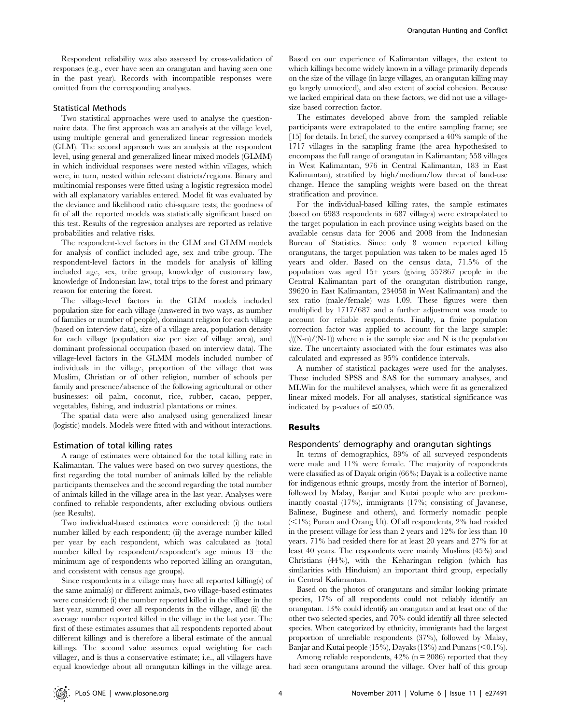Respondent reliability was also assessed by cross-validation of responses (e.g., ever have seen an orangutan and having seen one in the past year). Records with incompatible responses were omitted from the corresponding analyses.

## Statistical Methods

Two statistical approaches were used to analyse the questionnaire data. The first approach was an analysis at the village level, using multiple general and generalized linear regression models (GLM). The second approach was an analysis at the respondent level, using general and generalized linear mixed models (GLMM) in which individual responses were nested within villages, which were, in turn, nested within relevant districts/regions. Binary and multinomial responses were fitted using a logistic regression model with all explanatory variables entered. Model fit was evaluated by the deviance and likelihood ratio chi-square tests; the goodness of fit of all the reported models was statistically significant based on this test. Results of the regression analyses are reported as relative probabilities and relative risks.

The respondent-level factors in the GLM and GLMM models for analysis of conflict included age, sex and tribe group. The respondent-level factors in the models for analysis of killing included age, sex, tribe group, knowledge of customary law, knowledge of Indonesian law, total trips to the forest and primary reason for entering the forest.

The village-level factors in the GLM models included population size for each village (answered in two ways, as number of families or number of people), dominant religion for each village (based on interview data), size of a village area, population density for each village (population size per size of village area), and dominant professional occupation (based on interview data). The village-level factors in the GLMM models included number of individuals in the village, proportion of the village that was Muslim, Christian or of other religion, number of schools per family and presence/absence of the following agricultural or other businesses: oil palm, coconut, rice, rubber, cacao, pepper, vegetables, fishing, and industrial plantations or mines.

The spatial data were also analysed using generalized linear (logistic) models. Models were fitted with and without interactions.

#### Estimation of total killing rates

A range of estimates were obtained for the total killing rate in Kalimantan. The values were based on two survey questions, the first regarding the total number of animals killed by the reliable participants themselves and the second regarding the total number of animals killed in the village area in the last year. Analyses were confined to reliable respondents, after excluding obvious outliers (see Results).

Two individual-based estimates were considered: (i) the total number killed by each respondent; (ii) the average number killed per year by each respondent, which was calculated as (total number killed by respondent/respondent's age minus 13—the minimum age of respondents who reported killing an orangutan, and consistent with census age groups).

Since respondents in a village may have all reported killing(s) of the same animal(s) or different animals, two village-based estimates were considered: (i) the number reported killed in the village in the last year, summed over all respondents in the village, and (ii) the average number reported killed in the village in the last year. The first of these estimates assumes that all respondents reported about different killings and is therefore a liberal estimate of the annual killings. The second value assumes equal weighting for each villager, and is thus a conservative estimate; i.e., all villagers have equal knowledge about all orangutan killings in the village area.

Based on our experience of Kalimantan villages, the extent to which killings become widely known in a village primarily depends on the size of the village (in large villages, an orangutan killing may go largely unnoticed), and also extent of social cohesion. Because we lacked empirical data on these factors, we did not use a villagesize based correction factor.

The estimates developed above from the sampled reliable participants were extrapolated to the entire sampling frame; see [15] for details. In brief, the survey comprised a 40% sample of the 1717 villages in the sampling frame (the area hypothesised to encompass the full range of orangutan in Kalimantan; 558 villages in West Kalimantan, 976 in Central Kalimantan, 183 in East Kalimantan), stratified by high/medium/low threat of land-use change. Hence the sampling weights were based on the threat stratification and province.

For the individual-based killing rates, the sample estimates (based on 6983 respondents in 687 villages) were extrapolated to the target population in each province using weights based on the available census data for 2006 and 2008 from the Indonesian Bureau of Statistics. Since only 8 women reported killing orangutans, the target population was taken to be males aged 15 years and older. Based on the census data, 71.5% of the population was aged 15+ years (giving 557867 people in the Central Kalimantan part of the orangutan distribution range, 39620 in East Kalimantan, 234058 in West Kalimantan) and the sex ratio (male/female) was 1.09. These figures were then multiplied by 1717/687 and a further adjustment was made to account for reliable respondents. Finally, a finite population correction factor was applied to account for the large sample:  $\sqrt{(N-n)/(N-1)}$  where n is the sample size and N is the population size. The uncertainty associated with the four estimates was also calculated and expressed as 95% confidence intervals.

A number of statistical packages were used for the analyses. These included SPSS and SAS for the summary analyses, and MLWin for the multilevel analyses, which were fit as generalized linear mixed models. For all analyses, statistical significance was indicated by p-values of  $\leq 0.05$ .

#### Results

## Respondents' demography and orangutan sightings

In terms of demographics, 89% of all surveyed respondents were male and 11% were female. The majority of respondents were classified as of Dayak origin (66%; Dayak is a collective name for indigenous ethnic groups, mostly from the interior of Borneo), followed by Malay, Banjar and Kutai people who are predominantly coastal (17%), immigrants (17%; consisting of Javanese, Balinese, Buginese and others), and formerly nomadic people  $($  <math display="inline">1\%</math>; Punan and Orang Ut). Of all respondents, 2% had reside in the present village for less than 2 years and 12% for less than 10 years. 71% had resided there for at least 20 years and 27% for at least 40 years. The respondents were mainly Muslims (45%) and Christians (44%), with the Keharingan religion (which has similarities with Hinduism) an important third group, especially in Central Kalimantan.

Based on the photos of orangutans and similar looking primate species, 17% of all respondents could not reliably identify an orangutan. 13% could identify an orangutan and at least one of the other two selected species, and 70% could identify all three selected species. When categorized by ethnicity, immigrants had the largest proportion of unreliable respondents (37%), followed by Malay, Banjar and Kutai people (15%), Dayaks (13%) and Punans (<0.1%).

Among reliable respondents,  $42\%$  (n = 2086) reported that they had seen orangutans around the village. Over half of this group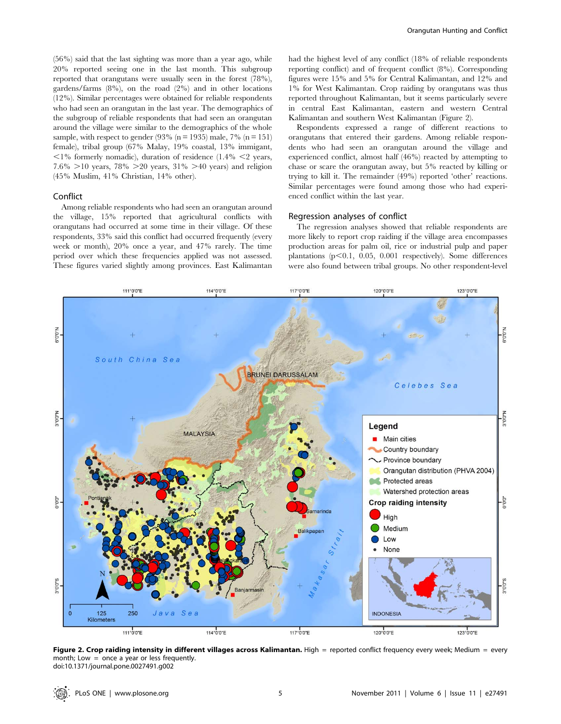(56%) said that the last sighting was more than a year ago, while 20% reported seeing one in the last month. This subgroup reported that orangutans were usually seen in the forest (78%), gardens/farms (8%), on the road (2%) and in other locations (12%). Similar percentages were obtained for reliable respondents who had seen an orangutan in the last year. The demographics of the subgroup of reliable respondents that had seen an orangutan around the village were similar to the demographics of the whole sample, with respect to gender  $(93\%$  (n = 1935) male, 7% (n = 151) female), tribal group (67% Malay, 19% coastal, 13% immigant,  $\langle 1\%$  formerly nomadic), duration of residence (1.4%  $\langle 2 \rangle$  years, 7.6%  $>10$  years, 78%  $>20$  years, 31%  $>40$  years) and religion (45% Muslim, 41% Christian, 14% other).

#### Conflict

Among reliable respondents who had seen an orangutan around the village, 15% reported that agricultural conflicts with orangutans had occurred at some time in their village. Of these respondents, 33% said this conflict had occurred frequently (every week or month), 20% once a year, and 47% rarely. The time period over which these frequencies applied was not assessed. These figures varied slightly among provinces. East Kalimantan had the highest level of any conflict (18% of reliable respondents reporting conflict) and of frequent conflict (8%). Corresponding figures were 15% and 5% for Central Kalimantan, and 12% and 1% for West Kalimantan. Crop raiding by orangutans was thus reported throughout Kalimantan, but it seems particularly severe in central East Kalimantan, eastern and western Central Kalimantan and southern West Kalimantan (Figure 2).

Respondents expressed a range of different reactions to orangutans that entered their gardens. Among reliable respondents who had seen an orangutan around the village and experienced conflict, almost half (46%) reacted by attempting to chase or scare the orangutan away, but 5% reacted by killing or trying to kill it. The remainder (49%) reported 'other' reactions. Similar percentages were found among those who had experienced conflict within the last year.

## Regression analyses of conflict

The regression analyses showed that reliable respondents are more likely to report crop raiding if the village area encompasses production areas for palm oil, rice or industrial pulp and paper plantations  $(p<0.1, 0.05, 0.001$  respectively). Some differences were also found between tribal groups. No other respondent-level



Figure 2. Crop raiding intensity in different villages across Kalimantan. High = reported conflict frequency every week; Medium = every month; Low  $=$  once a year or less frequently. doi:10.1371/journal.pone.0027491.g002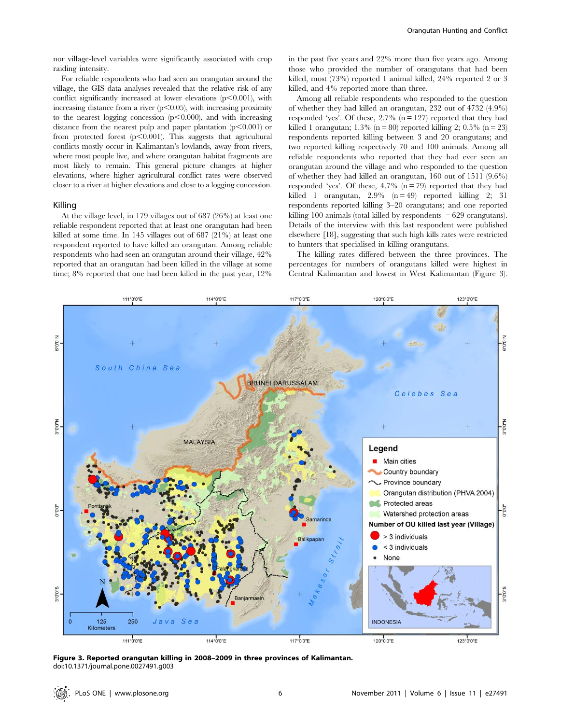nor village-level variables were significantly associated with crop raiding intensity.

For reliable respondents who had seen an orangutan around the village, the GIS data analyses revealed that the relative risk of any conflict significantly increased at lower elevations  $(p<0.001)$ , with increasing distance from a river  $(p<0.05)$ , with increasing proximity to the nearest logging concession  $(p<0.000)$ , and with increasing distance from the nearest pulp and paper plantation  $(p<0.001)$  or from protected forest  $(p<0.001)$ . This suggests that agricultural conflicts mostly occur in Kalimantan's lowlands, away from rivers, where most people live, and where orangutan habitat fragments are most likely to remain. This general picture changes at higher elevations, where higher agricultural conflict rates were observed closer to a river at higher elevations and close to a logging concession.

#### Killing

At the village level, in 179 villages out of 687 (26%) at least one reliable respondent reported that at least one orangutan had been killed at some time. In 145 villages out of 687 (21%) at least one respondent reported to have killed an orangutan. Among reliable respondents who had seen an orangutan around their village, 42% reported that an orangutan had been killed in the village at some time; 8% reported that one had been killed in the past year, 12% in the past five years and 22% more than five years ago. Among those who provided the number of orangutans that had been killed, most (73%) reported 1 animal killed, 24% reported 2 or 3 killed, and 4% reported more than three.

Among all reliable respondents who responded to the question of whether they had killed an orangutan, 232 out of 4732 (4.9%) responded 'yes'. Of these,  $2.7\%$  (n = 127) reported that they had killed 1 orangutan; 1.3% (n = 80) reported killing 2; 0.5% (n = 23) respondents reported killing between 3 and 20 orangutans; and two reported killing respectively 70 and 100 animals. Among all reliable respondents who reported that they had ever seen an orangutan around the village and who responded to the question of whether they had killed an orangutan, 160 out of 1511 (9.6%) responded 'yes'. Of these,  $4.7\%$  ( $n = 79$ ) reported that they had killed 1 orangutan,  $2.9\%$  (n = 49) reported killing 2; 31 respondents reported killing 3–20 orangutans; and one reported killing 100 animals (total killed by respondents  $= 629$  orangutans). Details of the interview with this last respondent were published elsewhere [18], suggesting that such high kills rates were restricted to hunters that specialised in killing orangutans.

The killing rates differed between the three provinces. The percentages for numbers of orangutans killed were highest in Central Kalimantan and lowest in West Kalimantan (Figure 3).



Figure 3. Reported orangutan killing in 2008–2009 in three provinces of Kalimantan. doi:10.1371/journal.pone.0027491.g003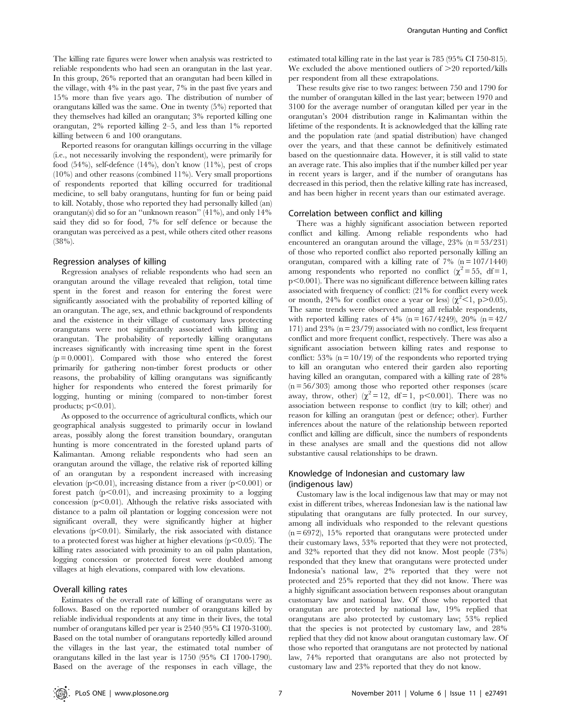The killing rate figures were lower when analysis was restricted to reliable respondents who had seen an orangutan in the last year. In this group, 26% reported that an orangutan had been killed in the village, with 4% in the past year, 7% in the past five years and 15% more than five years ago. The distribution of number of orangutans killed was the same. One in twenty (5%) reported that they themselves had killed an orangutan; 3% reported killing one orangutan, 2% reported killing 2–5, and less than 1% reported killing between 6 and 100 orangutans.

Reported reasons for orangutan killings occurring in the village (i.e., not necessarily involving the respondent), were primarily for food (54%), self-defence (14%), don't know (11%), pest of crops (10%) and other reasons (combined 11%). Very small proportions of respondents reported that killing occurred for traditional medicine, to sell baby orangutans, hunting for fun or being paid to kill. Notably, those who reported they had personally killed (an) orangutan(s) did so for an ''unknown reason'' (41%), and only 14% said they did so for food, 7% for self defence or because the orangutan was perceived as a pest, while others cited other reasons (38%).

#### Regression analyses of killing

Regression analyses of reliable respondents who had seen an orangutan around the village revealed that religion, total time spent in the forest and reason for entering the forest were significantly associated with the probability of reported killing of an orangutan. The age, sex, and ethnic background of respondents and the existence in their village of customary laws protecting orangutans were not significantly associated with killing an orangutan. The probability of reportedly killing orangutans increases significantly with increasing time spent in the forest  $(p = 0.0001)$ . Compared with those who entered the forest primarily for gathering non-timber forest products or other reasons, the probability of killing orangutans was significantly higher for respondents who entered the forest primarily for logging, hunting or mining (compared to non-timber forest products;  $p<0.01$ ).

As opposed to the occurrence of agricultural conflicts, which our geographical analysis suggested to primarily occur in lowland areas, possibly along the forest transition boundary, orangutan hunting is more concentrated in the forested upland parts of Kalimantan. Among reliable respondents who had seen an orangutan around the village, the relative risk of reported killing of an orangutan by a respondent increased with increasing elevation ( $p<0.01$ ), increasing distance from a river ( $p<0.001$ ) or forest patch  $(p<0.01)$ , and increasing proximity to a logging concession  $(p<0.01)$ . Although the relative risks associated with distance to a palm oil plantation or logging concession were not significant overall, they were significantly higher at higher elevations  $(p<0.01)$ . Similarly, the risk associated with distance to a protected forest was higher at higher elevations ( $p<0.05$ ). The killing rates associated with proximity to an oil palm plantation, logging concession or protected forest were doubled among villages at high elevations, compared with low elevations.

## Overall killing rates

Estimates of the overall rate of killing of orangutans were as follows. Based on the reported number of orangutans killed by reliable individual respondents at any time in their lives, the total number of orangutans killed per year is 2540 (95% CI 1970-3100). Based on the total number of orangutans reportedly killed around the villages in the last year, the estimated total number of orangutans killed in the last year is 1750 (95% CI 1700-1790). Based on the average of the responses in each village, the

estimated total killing rate in the last year is 785 (95% CI 750-815). We excluded the above mentioned outliers of  $>20$  reported/kills per respondent from all these extrapolations.

These results give rise to two ranges: between 750 and 1790 for the number of orangutan killed in the last year; between 1970 and 3100 for the average number of orangutan killed per year in the orangutan's 2004 distribution range in Kalimantan within the lifetime of the respondents. It is acknowledged that the killing rate and the population rate (and spatial distribution) have changed over the years, and that these cannot be definitively estimated based on the questionnaire data. However, it is still valid to state an average rate. This also implies that if the number killed per year in recent years is larger, and if the number of orangutans has decreased in this period, then the relative killing rate has increased, and has been higher in recent years than our estimated average.

## Correlation between conflict and killing

There was a highly significant association between reported conflict and killing. Among reliable respondents who had encountered an orangutan around the village,  $23\%$  (n =  $53/231$ ) of those who reported conflict also reported personally killing an orangutan, compared with a killing rate of  $7\%$  (n = 107/1440) among respondents who reported no conflict  $(\chi^2 = 55, df = 1,$  $p<0.001$ ). There was no significant difference between killing rates associated with frequency of conflict: (21% for conflict every week or month, 24% for conflict once a year or less)  $(\chi^2<1, p>0.05)$ . The same trends were observed among all reliable respondents, with reported killing rates of 4% ( $n = 167/4249$ ), 20% ( $n = 42/$ 171) and 23% ( $n = 23/79$ ) associated with no conflict, less frequent conflict and more frequent conflict, respectively. There was also a significant association between killing rates and response to conflict:  $53\%$  (n =  $10/19$ ) of the respondents who reported trying to kill an orangutan who entered their garden also reporting having killed an orangutan, compared with a killing rate of 28%  $(n = 56/303)$  among those who reported other responses (scare away, throw, other)  $(\chi^2 = 12, df = 1, p < 0.001)$ . There was no association between response to conflict (try to kill; other) and reason for killing an orangutan (pest or defence; other). Further inferences about the nature of the relationship between reported conflict and killing are difficult, since the numbers of respondents in these analyses are small and the questions did not allow substantive causal relationships to be drawn.

# Knowledge of Indonesian and customary law (indigenous law)

Customary law is the local indigenous law that may or may not exist in different tribes, whereas Indonesian law is the national law stipulating that orangutans are fully protected. In our survey, among all individuals who responded to the relevant questions (n = 6972), 15% reported that orangutans were protected under their customary laws, 53% reported that they were not protected, and 32% reported that they did not know. Most people (73%) responded that they knew that orangutans were protected under Indonesia's national law, 2% reported that they were not protected and 25% reported that they did not know. There was a highly significant association between responses about orangutan customary law and national law. Of those who reported that orangutan are protected by national law, 19% replied that orangutans are also protected by customary law; 53% replied that the species is not protected by customary law, and 28% replied that they did not know about orangutan customary law. Of those who reported that orangutans are not protected by national law, 74% reported that orangutans are also not protected by customary law and 23% reported that they do not know.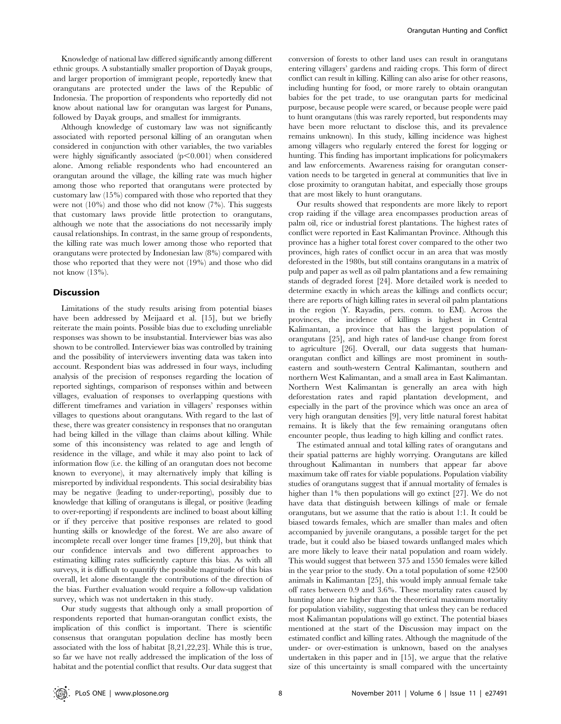Knowledge of national law differed significantly among different ethnic groups. A substantially smaller proportion of Dayak groups, and larger proportion of immigrant people, reportedly knew that orangutans are protected under the laws of the Republic of Indonesia. The proportion of respondents who reportedly did not know about national law for orangutan was largest for Punans, followed by Dayak groups, and smallest for immigrants.

Although knowledge of customary law was not significantly associated with reported personal killing of an orangutan when considered in conjunction with other variables, the two variables were highly significantly associated  $(p<0.001)$  when considered alone. Among reliable respondents who had encountered an orangutan around the village, the killing rate was much higher among those who reported that orangutans were protected by customary law (15%) compared with those who reported that they were not (10%) and those who did not know (7%). This suggests that customary laws provide little protection to orangutans, although we note that the associations do not necessarily imply causal relationships. In contrast, in the same group of respondents, the killing rate was much lower among those who reported that orangutans were protected by Indonesian law (8%) compared with those who reported that they were not (19%) and those who did not know (13%).

## Discussion

Limitations of the study results arising from potential biases have been addressed by Meijaard et al. [15], but we briefly reiterate the main points. Possible bias due to excluding unreliable responses was shown to be insubstantial. Interviewer bias was also shown to be controlled. Interviewer bias was controlled by training and the possibility of interviewers inventing data was taken into account. Respondent bias was addressed in four ways, including analysis of the precision of responses regarding the location of reported sightings, comparison of responses within and between villages, evaluation of responses to overlapping questions with different timeframes and variation in villagers' responses within villages to questions about orangutans. With regard to the last of these, there was greater consistency in responses that no orangutan had being killed in the village than claims about killing. While some of this inconsistency was related to age and length of residence in the village, and while it may also point to lack of information flow (i.e. the killing of an orangutan does not become known to everyone), it may alternatively imply that killing is misreported by individual respondents. This social desirability bias may be negative (leading to under-reporting), possibly due to knowledge that killing of orangutans is illegal, or positive (leading to over-reporting) if respondents are inclined to boast about killing or if they perceive that positive responses are related to good hunting skills or knowledge of the forest. We are also aware of incomplete recall over longer time frames [19,20], but think that our confidence intervals and two different approaches to estimating killing rates sufficiently capture this bias. As with all surveys, it is difficult to quantify the possible magnitude of this bias overall, let alone disentangle the contributions of the direction of the bias. Further evaluation would require a follow-up validation survey, which was not undertaken in this study.

Our study suggests that although only a small proportion of respondents reported that human-orangutan conflict exists, the implication of this conflict is important. There is scientific consensus that orangutan population decline has mostly been associated with the loss of habitat [8,21,22,23]. While this is true, so far we have not really addressed the implication of the loss of habitat and the potential conflict that results. Our data suggest that

conversion of forests to other land uses can result in orangutans entering villagers' gardens and raiding crops. This form of direct conflict can result in killing. Killing can also arise for other reasons, including hunting for food, or more rarely to obtain orangutan babies for the pet trade, to use orangutan parts for medicinal purpose, because people were scared, or because people were paid to hunt orangutans (this was rarely reported, but respondents may have been more reluctant to disclose this, and its prevalence remains unknown). In this study, killing incidence was highest among villagers who regularly entered the forest for logging or hunting. This finding has important implications for policymakers and law enforcements. Awareness raising for orangutan conservation needs to be targeted in general at communities that live in close proximity to orangutan habitat, and especially those groups that are most likely to hunt orangutans.

Our results showed that respondents are more likely to report crop raiding if the village area encompasses production areas of palm oil, rice or industrial forest plantations. The highest rates of conflict were reported in East Kalimantan Province. Although this province has a higher total forest cover compared to the other two provinces, high rates of conflict occur in an area that was mostly deforested in the 1980s, but still contains orangutans in a matrix of pulp and paper as well as oil palm plantations and a few remaining stands of degraded forest [24]. More detailed work is needed to determine exactly in which areas the killings and conflicts occur; there are reports of high killing rates in several oil palm plantations in the region (Y. Rayadin, pers. comm. to EM). Across the provinces, the incidence of killings is highest in Central Kalimantan, a province that has the largest population of orangutans [25], and high rates of land-use change from forest to agriculture [26]. Overall, our data suggests that humanorangutan conflict and killings are most prominent in southeastern and south-western Central Kalimantan, southern and northern West Kalimantan, and a small area in East Kalimantan. Northern West Kalimantan is generally an area with high deforestation rates and rapid plantation development, and especially in the part of the province which was once an area of very high orangutan densities [9], very little natural forest habitat remains. It is likely that the few remaining orangutans often encounter people, thus leading to high killing and conflict rates.

The estimated annual and total killing rates of orangutans and their spatial patterns are highly worrying. Orangutans are killed throughout Kalimantan in numbers that appear far above maximum take off rates for viable populations. Population viability studies of orangutans suggest that if annual mortality of females is higher than 1% then populations will go extinct [27]. We do not have data that distinguish between killings of male or female orangutans, but we assume that the ratio is about 1:1. It could be biased towards females, which are smaller than males and often accompanied by juvenile orangutans, a possible target for the pet trade, but it could also be biased towards unflanged males which are more likely to leave their natal population and roam widely. This would suggest that between 375 and 1550 females were killed in the year prior to the study. On a total population of some 42500 animals in Kalimantan [25], this would imply annual female take off rates between 0.9 and 3.6%. These mortality rates caused by hunting alone are higher than the theoretical maximum mortality for population viability, suggesting that unless they can be reduced most Kalimantan populations will go extinct. The potential biases mentioned at the start of the Discussion may impact on the estimated conflict and killing rates. Although the magnitude of the under- or over-estimation is unknown, based on the analyses undertaken in this paper and in [15], we argue that the relative size of this uncertainty is small compared with the uncertainty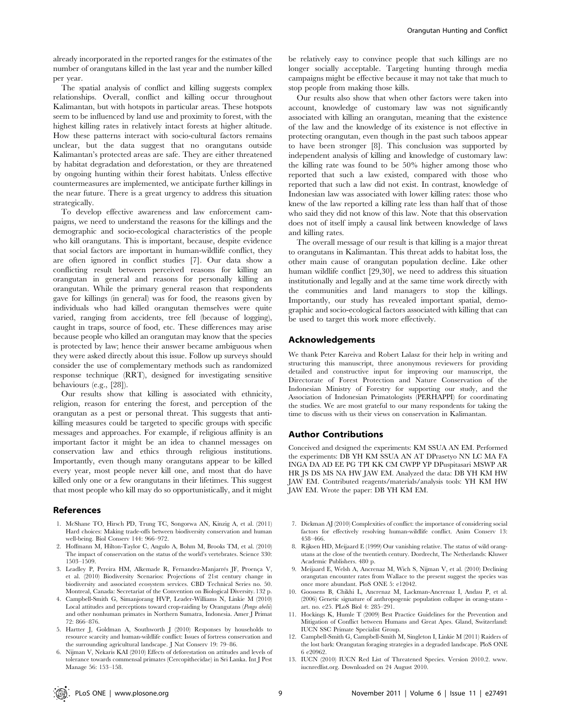already incorporated in the reported ranges for the estimates of the number of orangutans killed in the last year and the number killed per year.

The spatial analysis of conflict and killing suggests complex relationships. Overall, conflict and killing occur throughout Kalimantan, but with hotspots in particular areas. These hotspots seem to be influenced by land use and proximity to forest, with the highest killing rates in relatively intact forests at higher altitude. How these patterns interact with socio-cultural factors remains unclear, but the data suggest that no orangutans outside Kalimantan's protected areas are safe. They are either threatened by habitat degradation and deforestation, or they are threatened by ongoing hunting within their forest habitats. Unless effective countermeasures are implemented, we anticipate further killings in the near future. There is a great urgency to address this situation strategically.

To develop effective awareness and law enforcement campaigns, we need to understand the reasons for the killings and the demographic and socio-ecological characteristics of the people who kill orangutans. This is important, because, despite evidence that social factors are important in human-wildlife conflict, they are often ignored in conflict studies [7]. Our data show a conflicting result between perceived reasons for killing an orangutan in general and reasons for personally killing an orangutan. While the primary general reason that respondents gave for killings (in general) was for food, the reasons given by individuals who had killed orangutan themselves were quite varied, ranging from accidents, tree fell (because of logging), caught in traps, source of food, etc. These differences may arise because people who killed an orangutan may know that the species is protected by law; hence their answer became ambiguous when they were asked directly about this issue. Follow up surveys should consider the use of complementary methods such as randomized response technique (RRT), designed for investigating sensitive behaviours (e.g., [28]).

Our results show that killing is associated with ethnicity, religion, reason for entering the forest, and perception of the orangutan as a pest or personal threat. This suggests that antikilling measures could be targeted to specific groups with specific messages and approaches. For example, if religious affinity is an important factor it might be an idea to channel messages on conservation law and ethics through religious institutions. Importantly, even though many orangutans appear to be killed every year, most people never kill one, and most that do have killed only one or a few orangutans in their lifetimes. This suggest that most people who kill may do so opportunistically, and it might

## References

- 1. McShane TO, Hirsch PD, Trung TC, Songorwa AN, Kinzig A, et al. (2011) Hard choices: Making trade-offs between biodiversity conservation and human well-being. Biol Conserv 144: 966–972.
- 2. Hoffmann M, Hilton-Taylor C, Angulo A, Bohm M, Brooks TM, et al. (2010) The impact of conservation on the status of the world's vertebrates. Science 330: 1503–1509.
- 3. Leadley P, Pereira HM, Alkemade R, Fernandez-Manjarrés JF, Proença V, et al. (2010) Biodiversity Scenarios: Projections of 21st century change in biodiversity and associated ecosystem services. CBD Technical Series no. 50. Montreal, Canada: Secretariat of the Convention on Biological Diversity. 132 p.
- 4. Campbell-Smith G, Simanjorang HVP, Leader-Williams N, Linkie M (2010) Local attitudes and perceptions toward crop-raiding by Orangutans (Pongo abelii) and other nonhuman primates in Northern Sumatra, Indonesia. Amer J Primat 72: 866–876.
- 5. Hartter J, Goldman A, Southworth J (2010) Responses by households to resource scarcity and human-wildlife conflict: Issues of fortress conservation and the surrounding agricultural landscape. J Nat Conserv 19: 79–86.
- 6. Nijman V, Nekaris KAI (2010) Effects of deforestation on attitudes and levels of tolerance towards commensal primates (Cercopithecidae) in Sri Lanka. Int J Pest Manage 56: 153–158.

be relatively easy to convince people that such killings are no longer socially acceptable. Targeting hunting through media campaigns might be effective because it may not take that much to stop people from making those kills.

Our results also show that when other factors were taken into account, knowledge of customary law was not significantly associated with killing an orangutan, meaning that the existence of the law and the knowledge of its existence is not effective in protecting orangutan, even though in the past such taboos appear to have been stronger [8]. This conclusion was supported by independent analysis of killing and knowledge of customary law: the killing rate was found to be 50% higher among those who reported that such a law existed, compared with those who reported that such a law did not exist. In contrast, knowledge of Indonesian law was associated with lower killing rates: those who knew of the law reported a killing rate less than half that of those who said they did not know of this law. Note that this observation does not of itself imply a causal link between knowledge of laws and killing rates.

The overall message of our result is that killing is a major threat to orangutans in Kalimantan. This threat adds to habitat loss, the other main cause of orangutan population decline. Like other human wildlife conflict [29,30], we need to address this situation institutionally and legally and at the same time work directly with the communities and land managers to stop the killings. Importantly, our study has revealed important spatial, demographic and socio-ecological factors associated with killing that can be used to target this work more effectively.

## Acknowledgements

We thank Peter Kareiva and Robert Lalasz for their help in writing and structuring this manuscript, three anonymous reviewers for providing detailed and constructive input for improving our manuscript, the Directorate of Forest Protection and Nature Conservation of the Indonesian Ministry of Forestry for supporting our study, and the Association of Indonesian Primatologists (PERHAPPI) for coordinating the studies. We are most grateful to our many respondents for taking the time to discuss with us their views on conservation in Kalimantan.

## Author Contributions

Conceived and designed the experiments: KM SSUA AN EM. Performed the experiments: DB YH KM SSUA AN AT DPrasetyo NN LC MA FA INGA DA AD EE PG TPI KK CM CWPP YP DPuspitasari MSWP AR HR JS DS MS NA HW JAW EM. Analyzed the data: DB YH KM HW JAW EM. Contributed reagents/materials/analysis tools: YH KM HW JAW EM. Wrote the paper: DB YH KM EM.

- 7. Dickman AJ (2010) Complexities of conflict: the importance of considering social factors for effectively resolving human-wildlife conflict. Anim Conserv 13: 458–466.
- 8. Rijksen HD, Meijaard E (1999) Our vanishing relative. The status of wild orangutans at the close of the twentieth century. Dordrecht, The Netherlands: Kluwer Academic Publishers. 480 p.
- 9. Meijaard E, Welsh A, Ancrenaz M, Wich S, Nijman V, et al. (2010) Declining orangutan encounter rates from Wallace to the present suggest the species was once more abundant. PloS ONE 5: e12042.
- 10. Goossens B, Chikhi L, Ancrenaz M, Lackman-Ancrenaz I, Andau P, et al. (2006) Genetic signature of anthropogenic population collapse in orang-utans art. no. e25. PLoS Biol 4: 285–291.
- 11. Hockings K, Humle T (2009) Best Practice Guidelines for the Prevention and Mitigation of Conflict between Humans and Great Apes. Gland, Switzerland: IUCN SSC Primate Specialist Group.
- 12. Campbell-Smith G, Campbell-Smith M, Singleton I, Linkie M (2011) Raiders of the lost bark: Orangutan foraging strategies in a degraded landscape. PloS ONE 6 e20962.
- 13. IUCN (2010) IUCN Red List of Threatened Species. Version 2010.2. www. iucnredlist.org. Downloaded on 24 August 2010.